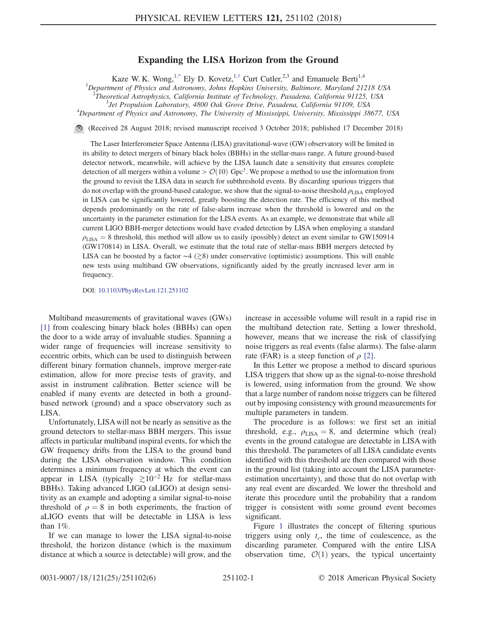## Expanding the LISA Horizon from the Ground

Kaze W. K. Wong,<sup>1[,\\*](#page-4-0)</sup> Ely D. Kovetz,<sup>1,[†](#page-4-1)</sup> Curt Cutler,<sup>2,3</sup> and Emanuele Berti<sup>1,4</sup>

<span id="page-0-0"></span><sup>1</sup>Department of Physics and Astronomy, Johns Hopkins University, Baltimore, Maryland 21218 USA

<sup>2</sup>Theoretical Astrophysics, California Institute of Technology, Pasadena, California 91125, USA  $\frac{3}{4}$  Let Propulsion Laboratory 4800 Ock Croys Drive Basedena, California 91100, USA

<sup>3</sup> Jet Propulsion Laboratory, 4800 Oak Grove Drive, Pasadena, California 91109, USA

<sup>4</sup>Department of Physics and Astronomy, The University of Mississippi, University, Mississippi 38677, USA

(Received 28 August 2018; revised manuscript received 3 October 2018; published 17 December 2018)

The Laser Interferometer Space Antenna (LISA) gravitational-wave (GW) observatory will be limited in its ability to detect mergers of binary black holes (BBHs) in the stellar-mass range. A future ground-based detector network, meanwhile, will achieve by the LISA launch date a sensitivity that ensures complete detection of all mergers within a volume  $\mathcal{O}(10)$  Gpc<sup>3</sup>. We propose a method to use the information from the ground to revisit the LISA data in search for subthreshold events. By discarding spurious triggers that do not overlap with the ground-based catalogue, we show that the signal-to-noise threshold  $\rho_{\rm LISA}$  employed in LISA can be significantly lowered, greatly boosting the detection rate. The efficiency of this method depends predominantly on the rate of false-alarm increase when the threshold is lowered and on the uncertainty in the parameter estimation for the LISA events. As an example, we demonstrate that while all current LIGO BBH-merger detections would have evaded detection by LISA when employing a standard  $\rho_{\text{LISA}} = 8$  threshold, this method will allow us to easily (possibly) detect an event similar to GW150914 (GW170814) in LISA. Overall, we estimate that the total rate of stellar-mass BBH mergers detected by LISA can be boosted by a factor ∼4 (≳8) under conservative (optimistic) assumptions. This will enable new tests using multiband GW observations, significantly aided by the greatly increased lever arm in frequency.

DOI: [10.1103/PhysRevLett.121.251102](https://doi.org/10.1103/PhysRevLett.121.251102)

Multiband measurements of gravitational waves (GWs) [\[1\]](#page-4-2) from coalescing binary black holes (BBHs) can open the door to a wide array of invaluable studies. Spanning a wider range of frequencies will increase sensitivity to eccentric orbits, which can be used to distinguish between different binary formation channels, improve merger-rate estimation, allow for more precise tests of gravity, and assist in instrument calibration. Better science will be enabled if many events are detected in both a groundbased network (ground) and a space observatory such as LISA.

Unfortunately, LISA will not be nearly as sensitive as the ground detectors to stellar-mass BBH mergers. This issue affects in particular multiband inspiral events, for which the GW frequency drifts from the LISA to the ground band during the LISA observation window. This condition determines a minimum frequency at which the event can appear in LISA (typically  $\geq 10^{-2}$  Hz for stellar-mass BBHs). Taking advanced LIGO (aLIGO) at design sensitivity as an example and adopting a similar signal-to-noise threshold of  $\rho = 8$  in both experiments, the fraction of aLIGO events that will be detectable in LISA is less than 1%.

If we can manage to lower the LISA signal-to-noise threshold, the horizon distance (which is the maximum distance at which a source is detectable) will grow, and the increase in accessible volume will result in a rapid rise in the multiband detection rate. Setting a lower threshold, however, means that we increase the risk of classifying noise triggers as real events (false alarms). The false-alarm rate (FAR) is a steep function of  $\rho$  [\[2\]](#page-4-3).

In this Letter we propose a method to discard spurious LISA triggers that show up as the signal-to-noise threshold is lowered, using information from the ground. We show that a large number of random noise triggers can be filtered out by imposing consistency with ground measurements for multiple parameters in tandem.

The procedure is as follows: we first set an initial threshold, e.g.,  $\rho_{\rm LISA} = 8$ , and determine which (real) events in the ground catalogue are detectable in LISA with this threshold. The parameters of all LISA candidate events identified with this threshold are then compared with those in the ground list (taking into account the LISA parameterestimation uncertainty), and those that do not overlap with any real event are discarded. We lower the threshold and iterate this procedure until the probability that a random trigger is consistent with some ground event becomes significant.

Figure [1](#page-1-0) illustrates the concept of filtering spurious triggers using only  $t_c$ , the time of coalescence, as the discarding parameter. Compared with the entire LISA observation time,  $\mathcal{O}(1)$  years, the typical uncertainty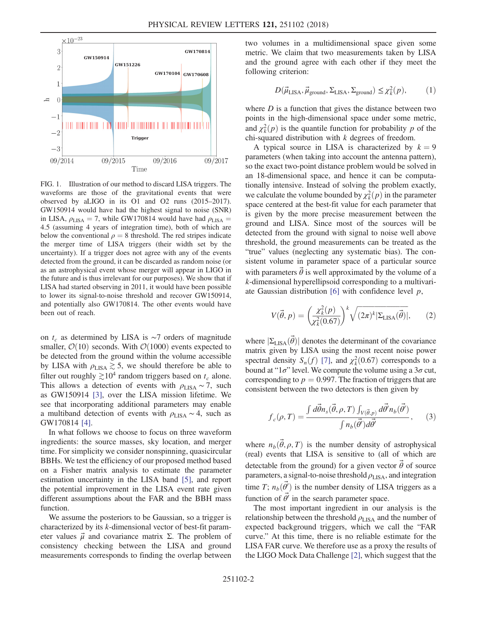<span id="page-1-0"></span>

FIG. 1. Illustration of our method to discard LISA triggers. The waveforms are those of the gravitational events that were observed by aLIGO in its O1 and O2 runs (2015–2017). GW150914 would have had the highest signal to noise (SNR) in LISA,  $\rho_{\text{LISA}} = 7$ , while GW170814 would have had  $\rho_{\text{LISA}} =$ 4.5 (assuming 4 years of integration time), both of which are below the conventional  $\rho = 8$  threshold. The red stripes indicate the merger time of LISA triggers (their width set by the uncertainty). If a trigger does not agree with any of the events detected from the ground, it can be discarded as random noise (or as an astrophysical event whose merger will appear in LIGO in the future and is thus irrelevant for our purposes). We show that if LISA had started observing in 2011, it would have been possible to lower its signal-to-noise threshold and recover GW150914, and potentially also GW170814. The other events would have been out of reach.

on  $t_c$  as determined by LISA is ∼7 orders of magnitude smaller,  $\mathcal{O}(10)$  seconds. With  $\mathcal{O}(1000)$  events expected to be detected from the ground within the volume accessible by LISA with  $\rho_{\text{LISA}} \gtrsim 5$ , we should therefore be able to filter out roughly  $\gtrsim 10^4$  random triggers based on  $t_c$  alone. This allows a detection of events with  $\rho_{\text{LISA}} \sim 7$ , such as GW150914 [\[3\]](#page-4-4), over the LISA mission lifetime. We see that incorporating additional parameters may enable a multiband detection of events with  $\rho_{\text{LISA}} \sim 4$ , such as GW170814 [\[4\].](#page-4-5)

In what follows we choose to focus on three waveform ingredients: the source masses, sky location, and merger time. For simplicity we consider nonspinning, quasicircular BBHs. We test the efficiency of our proposed method based on a Fisher matrix analysis to estimate the parameter estimation uncertainty in the LISA band [\[5\]](#page-4-6), and report the potential improvement in the LISA event rate given different assumptions about the FAR and the BBH mass function.

We assume the posteriors to be Gaussian, so a trigger is characterized by its k-dimensional vector of best-fit parameter values  $\vec{\mu}$  and covariance matrix Σ. The problem of consistency checking between the LISA and ground measurements corresponds to finding the overlap between two volumes in a multidimensional space given some metric. We claim that two measurements taken by LISA and the ground agree with each other if they meet the following criterion:

$$
D(\vec{\mu}_{\text{LISA}}, \vec{\mu}_{\text{ground}}, \Sigma_{\text{LISA}}, \Sigma_{\text{ground}}) \leq \chi^2_k(p), \tag{1}
$$

where  $D$  is a function that gives the distance between two points in the high-dimensional space under some metric, and  $\chi_k^2(p)$  is the quantile function for probability p of the chi-squared distribution with  $k$  degrees of freedom.

A typical source in LISA is characterized by  $k = 9$ parameters (when taking into account the antenna pattern), so the exact two-point distance problem would be solved in an 18-dimensional space, and hence it can be computationally intensive. Instead of solving the problem exactly, we calculate the volume bounded by  $\chi_k^2(p)$  in the parameter space centered at the best-fit value for each parameter that is given by the more precise measurement between the ground and LISA. Since most of the sources will be detected from the ground with signal to noise well above threshold, the ground measurements can be treated as the "true" values (neglecting any systematic bias). The consistent volume in parameter space of a particular source with parameters  $\vec{\theta}$  is well approximated by the volume of a k-dimensional hyperellipsoid corresponding to a multivariate Gaussian distribution  $[6]$  with confidence level  $p$ ,

<span id="page-1-1"></span>
$$
V(\vec{\theta}, p) = \left(\frac{\chi_k^2(p)}{\chi_k^2(0.67)}\right)^k \sqrt{(2\pi)^k |\Sigma_{\text{LISA}}(\vec{\theta})|},\qquad(2)
$$

where  $|\Sigma_{\text{LISA}}(\vec{\theta})|$  denotes the determinant of the covariance matrix given by LISA using the most recent noise power spectral density  $S_n(f)$  [\[7\]](#page-4-8), and  $\chi^2_k(0.67)$  corresponds to a bound at " $1\sigma$ " level. We compute the volume using a  $3\sigma$  cut, corresponding to  $p = 0.997$ . The fraction of triggers that are consistent between the two detectors is then given by

<span id="page-1-2"></span>
$$
f_c(\rho, T) = \frac{\int d\vec{\theta} n_s(\vec{\theta}, \rho, T) \int_{V(\vec{\theta}, p)} d\vec{\theta}' n_b(\vec{\theta}')}{\int n_b(\vec{\theta}') d\vec{\theta}'}, \qquad (3)
$$

where  $n_b(\vec{\theta}, \rho, T)$  is the number density of astrophysical (real) events that LISA is sensitive to (all of which are detectable from the ground) for a given vector  $\vec{\theta}$  of source parameters, a signal-to-noise threshold  $\rho_{\rm LISA}$ , and integration time T;  $n_b(\vec{\theta})$  is the number density of LISA triggers as a function of  $\vec{\theta}$  in the search parameter space.

The most important ingredient in our analysis is the relationship between the threshold  $\rho_{\text{LISA}}$  and the number of expected background triggers, which we call the "FAR curve." At this time, there is no reliable estimate for the LISA FAR curve. We therefore use as a proxy the results of the LIGO Mock Data Challenge [\[2\],](#page-4-3) which suggest that the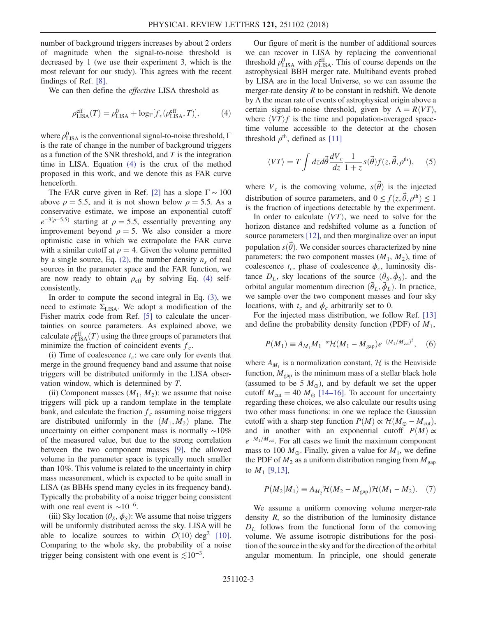number of background triggers increases by about 2 orders of magnitude when the signal-to-noise threshold is decreased by 1 (we use their experiment 3, which is the most relevant for our study). This agrees with the recent findings of Ref. [\[8\]](#page-4-9).

<span id="page-2-0"></span>We can then define the *effective* LISA threshold as

$$
\rho_{\text{LISA}}^{\text{eff}}(T) = \rho_{\text{LISA}}^0 + \log_{\Gamma}[f_c(\rho_{\text{LISA}}^{\text{eff}}, T)],\tag{4}
$$

where  $\rho_{\rm LISA}^0$  is the conventional signal-to-noise threshold,  $\Gamma$ is the rate of change in the number of background triggers as a function of the SNR threshold, and  $T$  is the integration time in LISA. Equation [\(4\)](#page-2-0) is the crux of the method proposed in this work, and we denote this as FAR curve henceforth.

The FAR curve given in Ref. [\[2\]](#page-4-3) has a slope  $\Gamma \sim 100$ above  $\rho = 5.5$ , and it is not shown below  $\rho = 5.5$ . As a conservative estimate, we impose an exponential cutoff  $e^{-3(\rho-5.5)}$  starting at  $\rho = 5.5$ , essentially preventing any improvement beyond  $\rho = 5$ . We also consider a more optimistic case in which we extrapolate the FAR curve with a similar cutoff at  $\rho = 4$ . Given the volume permitted by a single source, Eq. [\(2\)](#page-1-1), the number density  $n_s$  of real sources in the parameter space and the FAR function, we are now ready to obtain  $\rho_{\text{eff}}$  by solving Eq. [\(4\)](#page-2-0) selfconsistently.

In order to compute the second integral in Eq. [\(3\)](#page-1-2), we need to estimate  $\Sigma_{\text{LISA}}$ . We adopt a modification of the Fisher matrix code from Ref. [\[5\]](#page-4-6) to calculate the uncertainties on source parameters. As explained above, we calculate  $\rho_{\rm LISA}^{\rm eff}(T)$  using the three groups of parameters that minimize the fraction of coincident events  $f_c$ .

(i) Time of coalescence  $t_c$ : we care only for events that merge in the ground frequency band and assume that noise triggers will be distributed uniformly in the LISA observation window, which is determined by T.

(ii) Component masses  $(M_1, M_2)$ : we assume that noise triggers will pick up a random template in the template bank, and calculate the fraction  $f_c$  assuming noise triggers are distributed uniformly in the  $(M_1, M_2)$  plane. The uncertainty on either component mass is normally ∼10% of the measured value, but due to the strong correlation between the two component masses [\[9\],](#page-4-10) the allowed volume in the parameter space is typically much smaller than 10%. This volume is related to the uncertainty in chirp mass measurement, which is expected to be quite small in LISA (as BBHs spend many cycles in its frequency band). Typically the probability of a noise trigger being consistent with one real event is  $\sim 10^{-6}$ .

(iii) Sky location ( $\theta_s$ ,  $\phi_s$ ): We assume that noise triggers will be uniformly distributed across the sky. LISA will be able to localize sources to within  $\mathcal{O}(10)$  deg<sup>2</sup> [\[10\]](#page-4-11). Comparing to the whole sky, the probability of a noise trigger being consistent with one event is  $\leq 10^{-3}$ .

Our figure of merit is the number of additional sources we can recover in LISA by replacing the conventional threshold  $\rho_{\rm LISA}^0$  with  $\rho_{\rm LISA}^{\rm eff}$ . This of course depends on the astrophysical BBH merger rate. Multiband events probed by LISA are in the local Universe, so we can assume the merger-rate density  $R$  to be constant in redshift. We denote by Λ the mean rate of events of astrophysical origin above a certain signal-to-noise threshold, given by  $\Lambda = R\langle VT \rangle$ , where  $\langle VT \rangle f$  is the time and population-averaged spacetime volume accessible to the detector at the chosen threshold  $\rho^{\text{th}}$ , defined as [\[11\]](#page-4-12)

$$
\langle VT \rangle = T \int dz d\vec{\theta} \frac{dV_c}{dz} \frac{1}{1+z} s(\vec{\theta}) f(z, \vec{\theta}, \rho^{\text{th}}), \quad (5)
$$

where  $V_c$  is the comoving volume,  $s(\vec{\theta})$  is the injected distribution of source parameters, and  $0 \le f(z, \vec{\theta}, \rho^{\text{th}}) \le 1$ is the fraction of injections detectable by the experiment.

In order to calculate  $\langle VT \rangle$ , we need to solve for the horizon distance and redshifted volume as a function of source parameters [\[12\]](#page-4-13), and then marginalize over an input population  $s(\vec{\theta})$ . We consider sources characterized by nine parameters: the two component masses  $(M_1, M_2)$ , time of coalescence  $t_c$ , phase of coalescence  $\phi_c$ , luminosity distance  $D_L$ , sky locations of the source  $(\bar{\theta}_S, \bar{\phi}_S)$ , and the orbital angular momentum direction  $(\bar{\theta}_L, \bar{\phi}_L)$ . In practice, we sample over the two component masses and four sky locations, with  $t_c$  and  $\phi_c$  arbitrarily set to 0.

For the injected mass distribution, we follow Ref. [\[13\]](#page-4-14) and define the probability density function (PDF) of  $M_1$ ,

$$
P(M_1) \equiv A_{M_1} M_1^{-\alpha} \mathcal{H}(M_1 - M_{\rm gap}) e^{-(M_1/M_{\rm cut})^2}, \quad (6)
$$

where  $A_{M_1}$  is a normalization constant,  $H$  is the Heaviside function,  $M_{\text{gap}}$  is the minimum mass of a stellar black hole (assumed to be 5  $M_{\odot}$ ), and by default we set the upper cutoff  $M_{\text{cut}} = 40 M_{\odot}$  [14–[16\].](#page-4-15) To account for uncertainty regarding these choices, we also calculate our results using two other mass functions: in one we replace the Gaussian cutoff with a sharp step function  $P(M) \propto H(M_{\odot} - M_{\rm cut})$ , and in another with an exponential cutoff  $P(M) \propto$  $e^{-M_1/M_{\text{cut}}}$ . For all cases we limit the maximum component mass to 100  $M_{\odot}$ . Finally, given a value for  $M_1$ , we define the PDF of  $M_2$  as a uniform distribution ranging from  $M_{\text{gap}}$ to  $M_1$  [\[9,13\]](#page-4-10),

$$
P(M_2|M_1) \equiv A_{M_2} \mathcal{H}(M_2 - M_{\rm gap}) \mathcal{H}(M_1 - M_2). \quad (7)
$$

We assume a uniform comoving volume merger-rate density  $R$ , so the distribution of the luminosity distance  $D_L$  follows from the functional form of the comoving volume. We assume isotropic distributions for the position of the source in the sky and for the direction of the orbital angular momentum. In principle, one should generate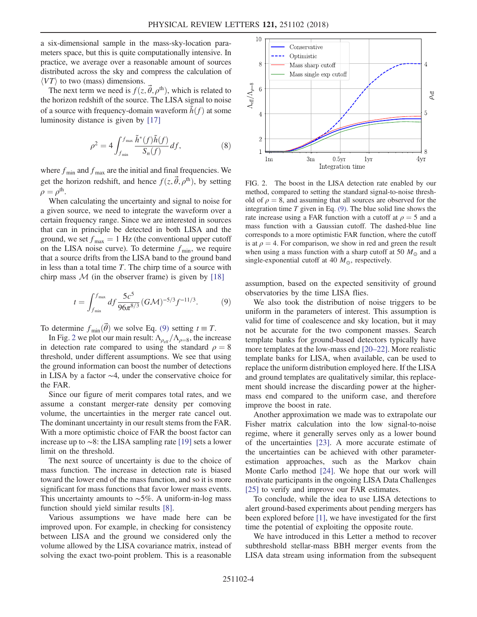a six-dimensional sample in the mass-sky-location parameters space, but this is quite computationally intensive. In practice, we average over a reasonable amount of sources distributed across the sky and compress the calculation of  $\langle VT \rangle$  to two (mass) dimensions.

The next term we need is  $f(z, \vec{\theta}, \rho^{\text{th}})$ , which is related to the horizon redshift of the source. The LISA signal to noise of a source with frequency-domain waveform  $\tilde{h}(f)$  at some luminosity distance is given by [\[17\]](#page-4-16)

$$
\rho^2 = 4 \int_{f_{\min}}^{f_{\max}} \frac{\tilde{h}^*(f)\tilde{h}(f)}{S_n(f)} df,
$$
\n(8)

where  $f_{\text{min}}$  and  $f_{\text{max}}$  are the initial and final frequencies. We get the horizon redshift, and hence  $f(z, \vec{\theta}, \rho^{\text{th}})$ , by setting  $\rho = \rho^{\text{th}}$ .

When calculating the uncertainty and signal to noise for a given source, we need to integrate the waveform over a certain frequency range. Since we are interested in sources that can in principle be detected in both LISA and the ground, we set  $f_{\text{max}} = 1$  Hz (the conventional upper cutoff on the LISA noise curve). To determine  $f_{\text{min}}$ , we require that a source drifts from the LISA band to the ground band in less than a total time  $T$ . The chirp time of a source with chirp mass  $M$  (in the observer frame) is given by [\[18\]](#page-4-17)

<span id="page-3-0"></span>
$$
t = \int_{f_{\min}}^{f_{\max}} df \frac{5c^5}{96\pi^{8/3}} (G\mathcal{M})^{-5/3} f^{-11/3}.
$$
 (9)

To determine  $f_{\text{min}}(\vec{\theta})$  we solve Eq. [\(9\)](#page-3-0) setting  $t \equiv T$ .

In Fig. [2](#page-3-1) we plot our main result:  $\Lambda_{\rho_{\text{eff}}}/\Lambda_{\rho=8}$ , the increase in detection rate compared to using the standard  $\rho = 8$ threshold, under different assumptions. We see that using the ground information can boost the number of detections in LISA by a factor ∼4, under the conservative choice for the FAR.

Since our figure of merit compares total rates, and we assume a constant merger-rate density per comoving volume, the uncertainties in the merger rate cancel out. The dominant uncertainty in our result stems from the FAR. With a more optimistic choice of FAR the boost factor can increase up to ∼8: the LISA sampling rate [\[19\]](#page-4-18) sets a lower limit on the threshold.

The next source of uncertainty is due to the choice of mass function. The increase in detection rate is biased toward the lower end of the mass function, and so it is more significant for mass functions that favor lower mass events. This uncertainty amounts to  $~\sim 5\%$ . A uniform-in-log mass function should yield similar results [\[8\]](#page-4-9).

Various assumptions we have made here can be improved upon. For example, in checking for consistency between LISA and the ground we considered only the volume allowed by the LISA covariance matrix, instead of solving the exact two-point problem. This is a reasonable

<span id="page-3-1"></span>

FIG. 2. The boost in the LISA detection rate enabled by our method, compared to setting the standard signal-to-noise threshold of  $\rho = 8$ , and assuming that all sources are observed for the integration time  $T$  given in Eq. [\(9\).](#page-3-0) The blue solid line shows the rate increase using a FAR function with a cutoff at  $\rho = 5$  and a mass function with a Gaussian cutoff. The dashed-blue line corresponds to a more optimistic FAR function, where the cutoff is at  $\rho = 4$ . For comparison, we show in red and green the result when using a mass function with a sharp cutoff at 50  $M_{\odot}$  and a single-exponential cutoff at 40  $M_{\odot}$ , respectively.

assumption, based on the expected sensitivity of ground observatories by the time LISA flies.

We also took the distribution of noise triggers to be uniform in the parameters of interest. This assumption is valid for time of coalescence and sky location, but it may not be accurate for the two component masses. Search template banks for ground-based detectors typically have more templates at the low-mass end [20–[22\].](#page-4-19) More realistic template banks for LISA, when available, can be used to replace the uniform distribution employed here. If the LISA and ground templates are qualitatively similar, this replacement should increase the discarding power at the highermass end compared to the uniform case, and therefore improve the boost in rate.

Another approximation we made was to extrapolate our Fisher matrix calculation into the low signal-to-noise regime, where it generally serves only as a lower bound of the uncertainties [\[23\]](#page-4-20). A more accurate estimate of the uncertainties can be achieved with other parameterestimation approaches, such as the Markov chain Monte Carlo method [\[24\]](#page-4-21). We hope that our work will motivate participants in the ongoing LISA Data Challenges [\[25\]](#page-4-22) to verify and improve our FAR estimates.

To conclude, while the idea to use LISA detections to alert ground-based experiments about pending mergers has been explored before [\[1\],](#page-4-2) we have investigated for the first time the potential of exploiting the opposite route.

We have introduced in this Letter a method to recover subthreshold stellar-mass BBH merger events from the LISA data stream using information from the subsequent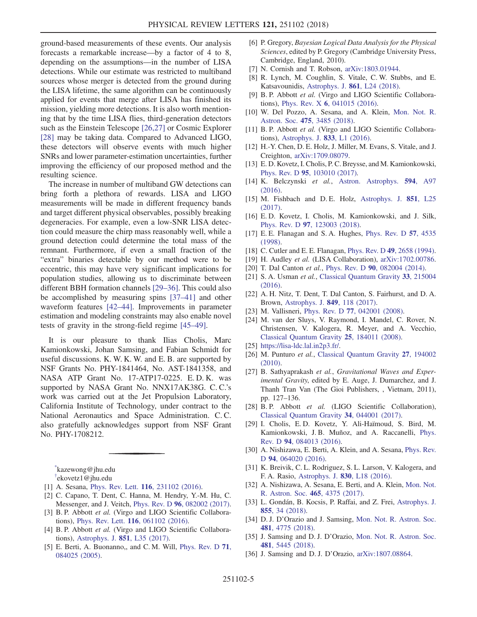ground-based measurements of these events. Our analysis forecasts a remarkable increase—by a factor of 4 to 8, depending on the assumptions—in the number of LISA detections. While our estimate was restricted to multiband sources whose merger is detected from the ground during the LISA lifetime, the same algorithm can be continuously applied for events that merge after LISA has finished its mission, yielding more detections. It is also worth mentioning that by the time LISA flies, third-generation detectors such as the Einstein Telescope [\[26,27\]](#page-4-23) or Cosmic Explorer [\[28\]](#page-4-24) may be taking data. Compared to Advanced LIGO, these detectors will observe events with much higher SNRs and lower parameter-estimation uncertainties, further improving the efficiency of our proposed method and the resulting science.

The increase in number of multiband GW detections can bring forth a plethora of rewards. LISA and LIGO measurements will be made in different frequency bands and target different physical observables, possibly breaking degeneracies. For example, even a low-SNR LISA detection could measure the chirp mass reasonably well, while a ground detection could determine the total mass of the remnant. Furthermore, if even a small fraction of the "extra" binaries detectable by our method were to be eccentric, this may have very significant implications for population studies, allowing us to discriminate between different BBH formation channels [29–[36\].](#page-4-25) This could also be accomplished by measuring spins [\[37](#page-5-0)–41] and other waveform features [42–[44\].](#page-5-1) Improvements in parameter estimation and modeling constraints may also enable novel tests of gravity in the strong-field regime [\[45](#page-5-2)–49].

It is our pleasure to thank Ilias Cholis, Marc Kamionkowski, Johan Samsing, and Fabian Schmidt for useful discussions. K. W. K. W. and E. B. are supported by NSF Grants No. PHY-1841464, No. AST-1841358, and NASA ATP Grant No. 17-ATP17-0225. E. D. K. was supported by NASA Grant No. NNX17AK38G. C. C.'s work was carried out at the Jet Propulsion Laboratory, California Institute of Technology, under contract to the National Aeronautics and Space Administration. C. C. also gratefully acknowledges support from NSF Grant No. PHY-1708212.

<span id="page-4-1"></span><span id="page-4-0"></span>[\\*](#page-0-0) kazewong@jhu.edu [†](#page-0-0) ekovetz1@jhu.edu

- <span id="page-4-3"></span><span id="page-4-2"></span>[1] A. Sesana, Phys. Rev. Lett. **116**[, 231102 \(2016\)](https://doi.org/10.1103/PhysRevLett.116.231102).
- <span id="page-4-4"></span>[2] C. Capano, T. Dent, C. Hanna, M. Hendry, Y.-M. Hu, C. Messenger, and J. Veitch, Phys. Rev. D 96[, 082002 \(2017\).](https://doi.org/10.1103/PhysRevD.96.082002)
- <span id="page-4-5"></span>[3] B. P. Abbott et al. (Virgo and LIGO Scientific Collaborations), Phys. Rev. Lett. 116[, 061102 \(2016\).](https://doi.org/10.1103/PhysRevLett.116.061102)
- <span id="page-4-6"></span>[4] B. P. Abbott et al. (Virgo and LIGO Scientific Collaborations), [Astrophys. J.](https://doi.org/10.3847/2041-8213/aa9f0c) 851, L35 (2017).
- [5] E. Berti, A. Buonanno,, and C. M. Will, [Phys. Rev. D](https://doi.org/10.1103/PhysRevD.71.084025) 71, [084025 \(2005\).](https://doi.org/10.1103/PhysRevD.71.084025)
- <span id="page-4-7"></span>[6] P. Gregory, Bayesian Logical Data Analysis for the Physical Sciences, edited by P. Gregory (Cambridge University Press, Cambridge, England, 2010).
- <span id="page-4-8"></span>[7] N. Cornish and T. Robson, [arXiv:1803.01944.](http://arXiv.org/abs/1803.01944)
- <span id="page-4-9"></span>[8] R. Lynch, M. Coughlin, S. Vitale, C. W. Stubbs, and E. Katsavounidis, [Astrophys. J.](https://doi.org/10.3847/2041-8213/aacf9f) 861, L24 (2018).
- <span id="page-4-10"></span>[9] B. P. Abbott et al. (Virgo and LIGO Scientific Collaborations), Phys. Rev. X 6[, 041015 \(2016\).](https://doi.org/10.1103/PhysRevX.6.041015)
- <span id="page-4-11"></span>[10] W. Del Pozzo, A. Sesana, and A. Klein, [Mon. Not. R.](https://doi.org/10.1093/mnras/sty057) Astron. Soc. 475[, 3485 \(2018\)](https://doi.org/10.1093/mnras/sty057).
- <span id="page-4-12"></span>[11] B. P. Abbott et al. (Virgo and LIGO Scientific Collaborations), [Astrophys. J.](https://doi.org/10.3847/2041-8205/833/1/L1) 833, L1 (2016).
- <span id="page-4-13"></span>[12] H.-Y. Chen, D. E. Holz, J. Miller, M. Evans, S. Vitale, and J. Creighton, [arXiv:1709.08079](http://arXiv.org/abs/1709.08079).
- <span id="page-4-14"></span>[13] E. D. Kovetz, I. Cholis, P. C. Breysse, and M. Kamionkowski, Phys. Rev. D 95[, 103010 \(2017\).](https://doi.org/10.1103/PhysRevD.95.103010)
- <span id="page-4-15"></span>[14] K. Belczynski et al., [Astron. Astrophys.](https://doi.org/10.1051/0004-6361/201628980) 594, A97 [\(2016\).](https://doi.org/10.1051/0004-6361/201628980)
- [15] M. Fishbach and D. E. Holz, [Astrophys. J.](https://doi.org/10.3847/2041-8213/aa9bf6) 851, L25 [\(2017\).](https://doi.org/10.3847/2041-8213/aa9bf6)
- [16] E. D. Kovetz, I. Cholis, M. Kamionkowski, and J. Silk, Phys. Rev. D 97[, 123003 \(2018\)](https://doi.org/10.1103/PhysRevD.97.123003).
- <span id="page-4-16"></span>[17] E. E. Flanagan and S. A. Hughes, [Phys. Rev. D](https://doi.org/10.1103/PhysRevD.57.4535) 57, 4535 [\(1998\).](https://doi.org/10.1103/PhysRevD.57.4535)
- <span id="page-4-18"></span><span id="page-4-17"></span>[18] C. Cutler and E. E. Flanagan, Phys. Rev. D 49[, 2658 \(1994\).](https://doi.org/10.1103/PhysRevD.49.2658)
- <span id="page-4-19"></span>[19] H. Audley et al. (LISA Collaboration), [arXiv:1702.00786.](http://arXiv.org/abs/1702.00786)
- [20] T. Dal Canton et al., Phys. Rev. D 90[, 082004 \(2014\)](https://doi.org/10.1103/PhysRevD.90.082004).
- [21] S. A. Usman et al., [Classical Quantum Gravity](https://doi.org/10.1088/0264-9381/33/21/215004) 33, 215004 [\(2016\).](https://doi.org/10.1088/0264-9381/33/21/215004)
- [22] A. H. Nitz, T. Dent, T. Dal Canton, S. Fairhurst, and D. A. Brown, [Astrophys. J.](https://doi.org/10.3847/1538-4357/aa8f50) 849, 118 (2017).
- <span id="page-4-21"></span><span id="page-4-20"></span>[23] M. Vallisneri, Phys. Rev. D 77[, 042001 \(2008\)](https://doi.org/10.1103/PhysRevD.77.042001).
- [24] M. van der Sluys, V. Raymond, I. Mandel, C. Rover, N. Christensen, V. Kalogera, R. Meyer, and A. Vecchio, [Classical Quantum Gravity](https://doi.org/10.1088/0264-9381/25/18/184011) 25, 184011 (2008).
- <span id="page-4-23"></span><span id="page-4-22"></span>[25] <https://lisa-ldc.lal.in2p3.fr/>.
- [26] M. Punturo et al., [Classical Quantum Gravity](https://doi.org/10.1088/0264-9381/27/19/194002) 27, 194002 [\(2010\).](https://doi.org/10.1088/0264-9381/27/19/194002)
- [27] B. Sathyaprakash et al., Gravitational Waves and Experimental Gravity, edited by E. Auge, J. Dumarchez, and J. Thanh Tran Van (The Gioi Publishers, , Vietnam, 2011), pp. 127–136.
- <span id="page-4-24"></span>[28] B.P. Abbott et al. (LIGO Scientific Collaboration), [Classical Quantum Gravity](https://doi.org/10.1088/1361-6382/aa51f4) 34, 044001 (2017).
- <span id="page-4-25"></span>[29] I. Cholis, E. D. Kovetz, Y. Ali-Haïmoud, S. Bird, M. Kamionkowski, J. B. Muñoz, and A. Raccanelli, [Phys.](https://doi.org/10.1103/PhysRevD.94.084013) Rev. D 94[, 084013 \(2016\)](https://doi.org/10.1103/PhysRevD.94.084013).
- [30] A. Nishizawa, E. Berti, A. Klein, and A. Sesana, [Phys. Rev.](https://doi.org/10.1103/PhysRevD.94.064020) D 94[, 064020 \(2016\)](https://doi.org/10.1103/PhysRevD.94.064020).
- [31] K. Breivik, C. L. Rodriguez, S. L. Larson, V. Kalogera, and F. A. Rasio, [Astrophys. J.](https://doi.org/10.3847/2041-8205/830/1/L18) 830, L18 (2016).
- [32] A. Nishizawa, A. Sesana, E. Berti, and A. Klein, [Mon. Not.](https://doi.org/10.1093/mnras/stw2993) [R. Astron. Soc.](https://doi.org/10.1093/mnras/stw2993) 465, 4375 (2017).
- [33] L. Gondán, B. Kocsis, P. Raffai, and Z. Frei, [Astrophys. J.](https://doi.org/10.3847/1538-4357/aaad0e) 855[, 34 \(2018\).](https://doi.org/10.3847/1538-4357/aaad0e)
- [34] D. J. D'Orazio and J. Samsing, [Mon. Not. R. Astron. Soc.](https://doi.org/10.1093/mnras/sty2568) 481[, 4775 \(2018\)](https://doi.org/10.1093/mnras/sty2568).
- [35] J. Samsing and D. J. D'Orazio, [Mon. Not. R. Astron. Soc.](https://doi.org/10.1093/mnras/sty2334) 481[, 5445 \(2018\)](https://doi.org/10.1093/mnras/sty2334).
- [36] J. Samsing and D. J. D'Orazio, [arXiv:1807.08864.](http://arXiv.org/abs/1807.08864)